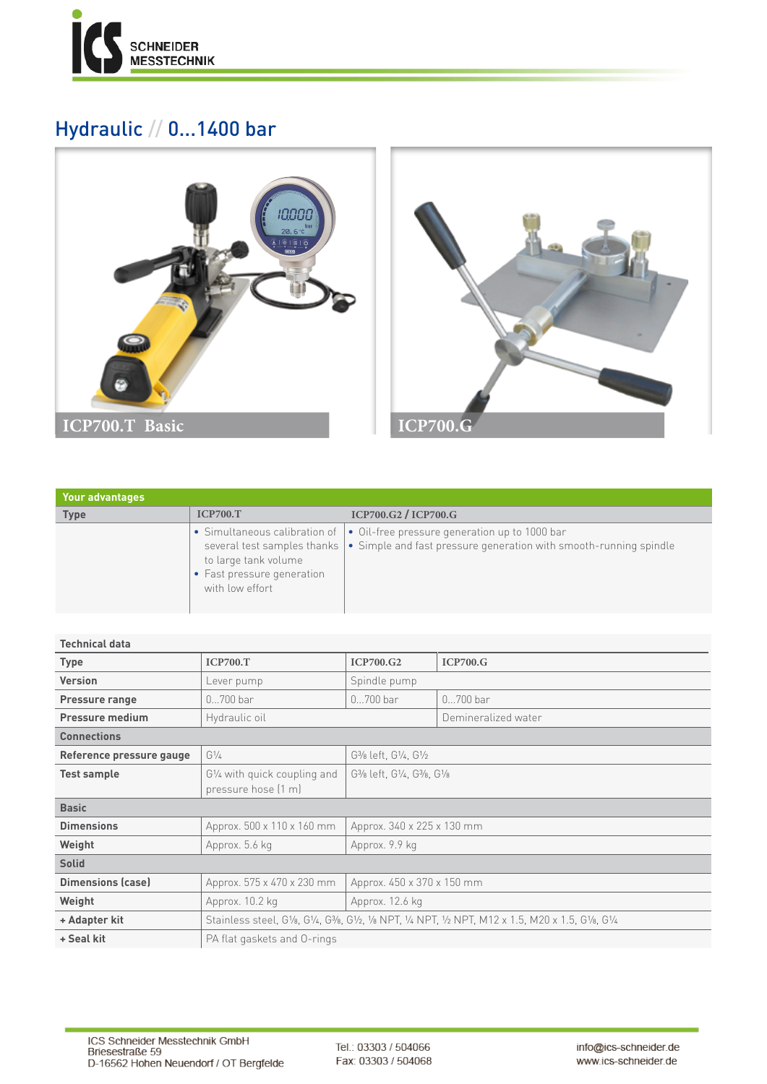

## Hydraulic // 0...1400 bar





| <b>Your advantages</b> |                                                                       |                                                                                                                                                                                            |
|------------------------|-----------------------------------------------------------------------|--------------------------------------------------------------------------------------------------------------------------------------------------------------------------------------------|
| <b>Type</b>            | <b>ICP700.T</b>                                                       | ICP700.G2 / ICP700.G                                                                                                                                                                       |
|                        | to large tank volume<br>• Fast pressure generation<br>with low effort | • Simultaneous calibration of   • Oil-free pressure generation up to 1000 bar<br>several test samples thanks $\cdot \cdot$ Simple and fast pressure generation with smooth-running spindle |

## **Technical data**

| <b>Type</b>              | <b>ICP700.T</b>                                                                                      | <b>ICP700.G2</b>                                                                                        | ICP700.G            |  |  |  |
|--------------------------|------------------------------------------------------------------------------------------------------|---------------------------------------------------------------------------------------------------------|---------------------|--|--|--|
| <b>Version</b>           | Lever pump                                                                                           | Spindle pump                                                                                            |                     |  |  |  |
| Pressure range           | $0700$ bar                                                                                           | $0700$ bar                                                                                              | $0700$ bar          |  |  |  |
| <b>Pressure medium</b>   | Hydraulic oil                                                                                        |                                                                                                         | Demineralized water |  |  |  |
| <b>Connections</b>       |                                                                                                      |                                                                                                         |                     |  |  |  |
| Reference pressure gauge | $G\frac{1}{4}$                                                                                       | G <sub>3</sub> / <sub>8</sub> left, G <sub>1/4</sub> , G <sub>1/2</sub>                                 |                     |  |  |  |
| <b>Test sample</b>       | G1/4 with quick coupling and                                                                         | G <sub>3</sub> / <sub>8</sub> left, G <sub>1/4</sub> , G <sub>3</sub> / <sub>8</sub> , G <sub>1/8</sub> |                     |  |  |  |
|                          | pressure hose [1 m]                                                                                  |                                                                                                         |                     |  |  |  |
| <b>Basic</b>             |                                                                                                      |                                                                                                         |                     |  |  |  |
| <b>Dimensions</b>        | Approx. 500 x 110 x 160 mm                                                                           | Approx. 340 x 225 x 130 mm                                                                              |                     |  |  |  |
| Weight                   | Approx. 5.6 kg                                                                                       | Approx. 9.9 kg                                                                                          |                     |  |  |  |
| <b>Solid</b>             |                                                                                                      |                                                                                                         |                     |  |  |  |
| <b>Dimensions (case)</b> | Approx. 575 x 470 x 230 mm                                                                           | Approx. 450 x 370 x 150 mm                                                                              |                     |  |  |  |
| Weight                   | Approx. 10.2 kg                                                                                      | Approx. 12.6 kg                                                                                         |                     |  |  |  |
| + Adapter kit            | Stainless steel, G1/8, G1/4, G3/8, G1/2, 1/8 NPT, 1/4 NPT, 1/2 NPT, M12 x 1.5, M20 x 1.5, G1/8, G1/4 |                                                                                                         |                     |  |  |  |
| + Seal kit               | PA flat gaskets and O-rings                                                                          |                                                                                                         |                     |  |  |  |